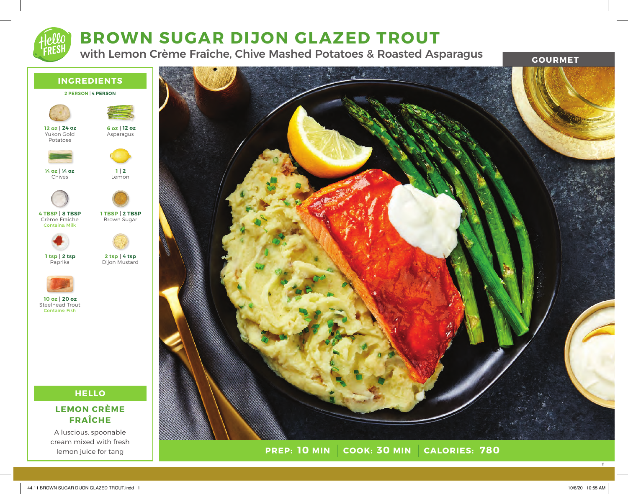# **BROWN SUGAR DIJON GLAZED TROUT**

with Lemon Crème Fraîche, Chive Mashed Potatoes & Roasted Asparagus **GOURMET** 



A luscious, spoonable cream mixed with fresh lemon juice for tang



**PREP: 10 MIN COOK: 30 MIN 10 MIN 30 MIN 780**

11